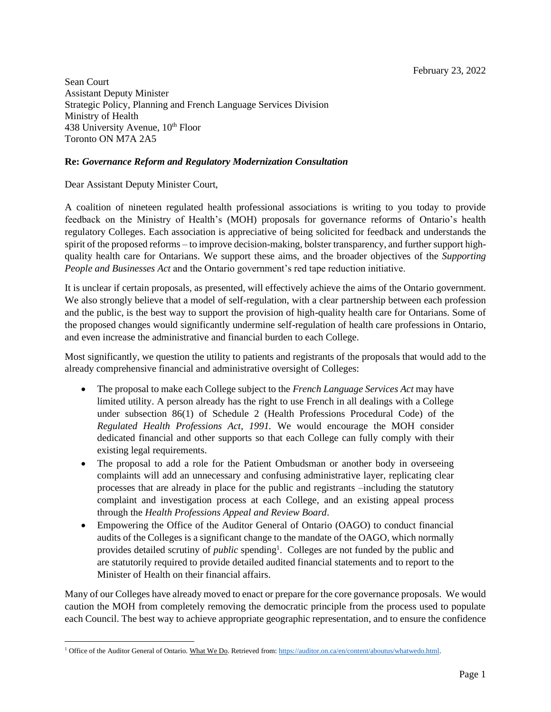Sean Court Assistant Deputy Minister Strategic Policy, Planning and French Language Services Division Ministry of Health 438 University Avenue,  $10^{th}$  Floor Toronto ON M7A 2A5

## **Re:** *Governance Reform and Regulatory Modernization Consultation*

Dear Assistant Deputy Minister Court,

A coalition of nineteen regulated health professional associations is writing to you today to provide feedback on the Ministry of Health's (MOH) proposals for governance reforms of Ontario's health regulatory Colleges. Each association is appreciative of being solicited for feedback and understands the spirit of the proposed reforms – to improve decision-making, bolster transparency, and further support highquality health care for Ontarians. We support these aims, and the broader objectives of the *Supporting People and Businesses Act* and the Ontario government's red tape reduction initiative.

It is unclear if certain proposals, as presented, will effectively achieve the aims of the Ontario government. We also strongly believe that a model of self-regulation, with a clear partnership between each profession and the public, is the best way to support the provision of high-quality health care for Ontarians. Some of the proposed changes would significantly undermine self-regulation of health care professions in Ontario, and even increase the administrative and financial burden to each College.

Most significantly, we question the utility to patients and registrants of the proposals that would add to the already comprehensive financial and administrative oversight of Colleges:

- The proposal to make each College subject to the *French Language Services Act* may have limited utility. A person already has the right to use French in all dealings with a College under subsection 86(1) of Schedule 2 (Health Professions Procedural Code) of the *Regulated Health Professions Act, 1991.* We would encourage the MOH consider dedicated financial and other supports so that each College can fully comply with their existing legal requirements.
- The proposal to add a role for the Patient Ombudsman or another body in overseeing complaints will add an unnecessary and confusing administrative layer, replicating clear processes that are already in place for the public and registrants –including the statutory complaint and investigation process at each College, and an existing appeal process through the *Health Professions Appeal and Review Board*.
- Empowering the Office of the Auditor General of Ontario (OAGO) to conduct financial audits of the Colleges is a significant change to the mandate of the OAGO, which normally provides detailed scrutiny of *public* spending<sup>1</sup>. Colleges are not funded by the public and are statutorily required to provide detailed audited financial statements and to report to the Minister of Health on their financial affairs.

Many of our Colleges have already moved to enact or prepare for the core governance proposals. We would caution the MOH from completely removing the democratic principle from the process used to populate each Council. The best way to achieve appropriate geographic representation, and to ensure the confidence

<sup>&</sup>lt;sup>1</sup> Office of the Auditor General of Ontario. What We Do. Retrieved from: [https://auditor.on.ca/en/content/aboutus/whatwedo.html.](https://auditor.on.ca/en/content/aboutus/whatwedo.html)